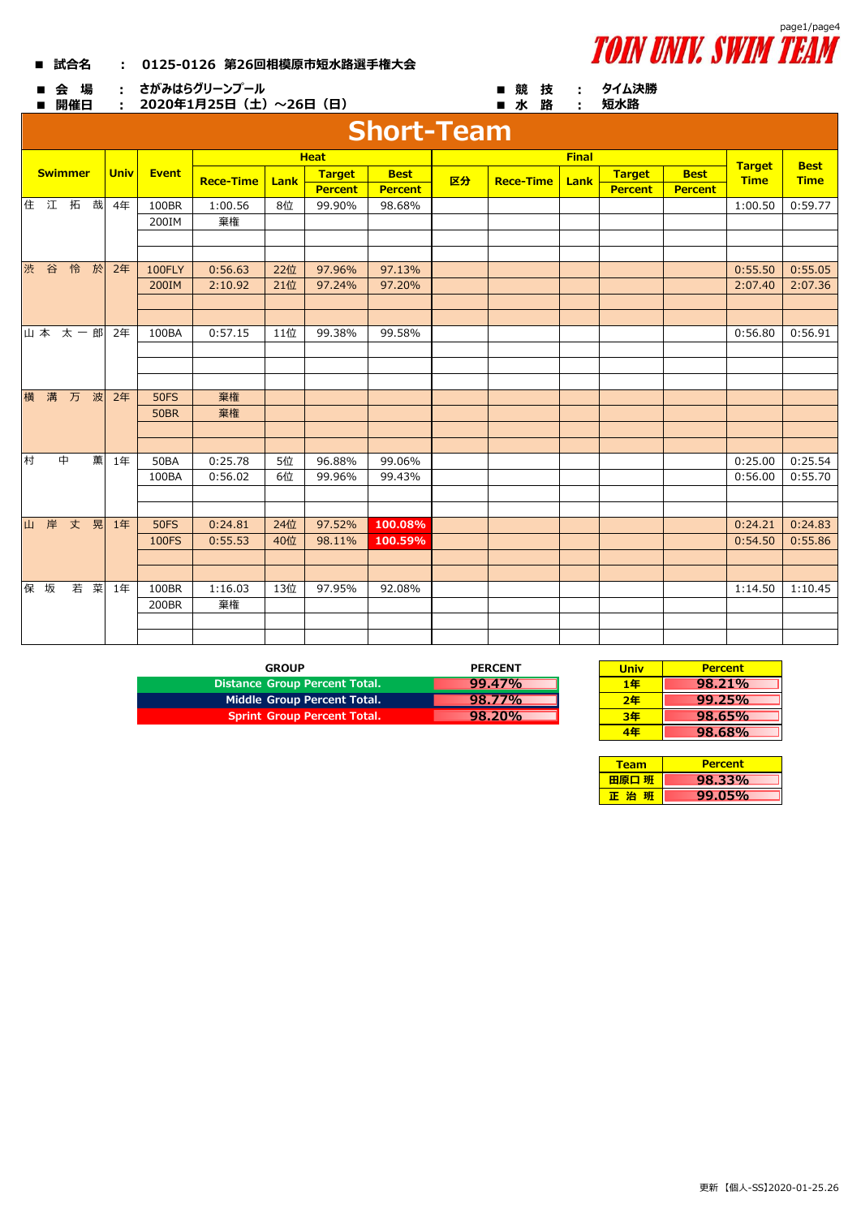| 0125-0126 第26回相模原市短水路選手権大会 |
|----------------------------|
|                            |



| 会 場<br>■<br>開催日   | ・ さがみはらグリーンプール<br>2020年1月25日 (土) ~26日 (日)<br>$\pm$ 10 $\pm$ | タイム決勝<br>短水路 |                  |      |                |                |    |                  |              |                |                |               |             |  |
|-------------------|-------------------------------------------------------------|--------------|------------------|------|----------------|----------------|----|------------------|--------------|----------------|----------------|---------------|-------------|--|
| <b>Short-Team</b> |                                                             |              |                  |      |                |                |    |                  |              |                |                |               |             |  |
|                   |                                                             |              |                  |      | <b>Heat</b>    |                |    |                  | <b>Final</b> |                |                | <b>Target</b> | <b>Best</b> |  |
| <b>Swimmer</b>    | <b>Univ</b>                                                 | <b>Event</b> | <b>Rece-Time</b> | Lank | <b>Target</b>  | <b>Best</b>    | 区分 | <b>Rece-Time</b> | Lank         | <b>Target</b>  | <b>Best</b>    | <b>Time</b>   | <b>Time</b> |  |
|                   |                                                             |              |                  |      | <b>Percent</b> | <b>Percent</b> |    |                  |              | <b>Percent</b> | <b>Percent</b> |               |             |  |
| 住 江 拓<br>哉        | 4年                                                          | 100BR        | 1:00.56          | 8位   | 99.90%         | 98.68%         |    |                  |              |                |                | 1:00.50       | 0:59.77     |  |
|                   |                                                             | 200IM        | 棄権               |      |                |                |    |                  |              |                |                |               |             |  |
|                   |                                                             |              |                  |      |                |                |    |                  |              |                |                |               |             |  |
|                   |                                                             |              |                  |      |                |                |    |                  |              |                |                |               |             |  |
| 渋 谷 怜 於           | 2年                                                          | 100FLY       | 0:56.63          | 22位  | 97.96%         | 97.13%         |    |                  |              |                |                | 0:55.50       | 0:55.05     |  |
|                   |                                                             | 200IM        | 2:10.92          | 21位  | 97.24%         | 97.20%         |    |                  |              |                |                | 2:07.40       | 2:07.36     |  |
|                   |                                                             |              |                  |      |                |                |    |                  |              |                |                |               |             |  |
|                   |                                                             |              |                  |      |                |                |    |                  |              |                |                |               |             |  |
| 山本 太一郎            | 2年                                                          | 100BA        | 0:57.15          | 11位  | 99.38%         | 99.58%         |    |                  |              |                |                | 0:56.80       | 0:56.91     |  |
|                   |                                                             |              |                  |      |                |                |    |                  |              |                |                |               |             |  |
|                   |                                                             |              |                  |      |                |                |    |                  |              |                |                |               |             |  |
|                   |                                                             |              |                  |      |                |                |    |                  |              |                |                |               |             |  |
| 横 溝 万 波           | 2年                                                          | <b>50FS</b>  | 棄権               |      |                |                |    |                  |              |                |                |               |             |  |
|                   |                                                             | <b>50BR</b>  | 棄権               |      |                |                |    |                  |              |                |                |               |             |  |
|                   |                                                             |              |                  |      |                |                |    |                  |              |                |                |               |             |  |
| 村<br>中<br>薫       | 1年                                                          | <b>50BA</b>  | 0:25.78          | 5位   | 96.88%         | 99.06%         |    |                  |              |                |                | 0:25.00       | 0:25.54     |  |
|                   |                                                             | 100BA        | 0:56.02          | 6位   | 99.96%         | 99.43%         |    |                  |              |                |                | 0:56.00       | 0:55.70     |  |
|                   |                                                             |              |                  |      |                |                |    |                  |              |                |                |               |             |  |
|                   |                                                             |              |                  |      |                |                |    |                  |              |                |                |               |             |  |
| 山岸丈晃              | 1年                                                          | <b>50FS</b>  | 0:24.81          | 24位  | 97.52%         | 100.08%        |    |                  |              |                |                | 0:24.21       | 0:24.83     |  |
|                   |                                                             | 100FS        | 0:55.53          | 40位  | 98.11%         | 100.59%        |    |                  |              |                |                | 0:54.50       | 0:55.86     |  |
|                   |                                                             |              |                  |      |                |                |    |                  |              |                |                |               |             |  |
|                   |                                                             |              |                  |      |                |                |    |                  |              |                |                |               |             |  |
| 若 菜<br>保 坂        | 1年                                                          | 100BR        | 1:16.03          | 13位  | 97.95%         | 92.08%         |    |                  |              |                |                | 1:14.50       | 1:10.45     |  |
|                   |                                                             | 200BR        | 棄権               |      |                |                |    |                  |              |                |                |               |             |  |
|                   |                                                             |              |                  |      |                |                |    |                  |              |                |                |               |             |  |
|                   |                                                             |              |                  |      |                |                |    |                  |              |                |                |               |             |  |

| GROUP                                | <b>PERCENT</b> | <b>Univ</b> | <b>Percent</b> |
|--------------------------------------|----------------|-------------|----------------|
| <b>Distance Group Percent Total.</b> | $99.47\%$      | 1年          | 98.21%         |
| Middle Group Percent Total.          | 98.77%         | 2年          | 99.25%         |
| <b>Sprint Group Percent Total.</b>   | 98.20%         | 3年          | 98.65%         |

| <b>PERCENT</b> | <b>Univ</b> | <b>Percent</b> |
|----------------|-------------|----------------|
| 99.47%         | 1年          | 98.21%         |
| 98.77%         | 2年          | 99.25%         |
| 98.20%         | 3年          | 98.65%         |
|                | 1Æ          | 98.68%         |

| <b>Team</b> | <b>Percent</b> |
|-------------|----------------|
| 田原口 班       | 98.33%         |
| 正 治         | 99.05%         |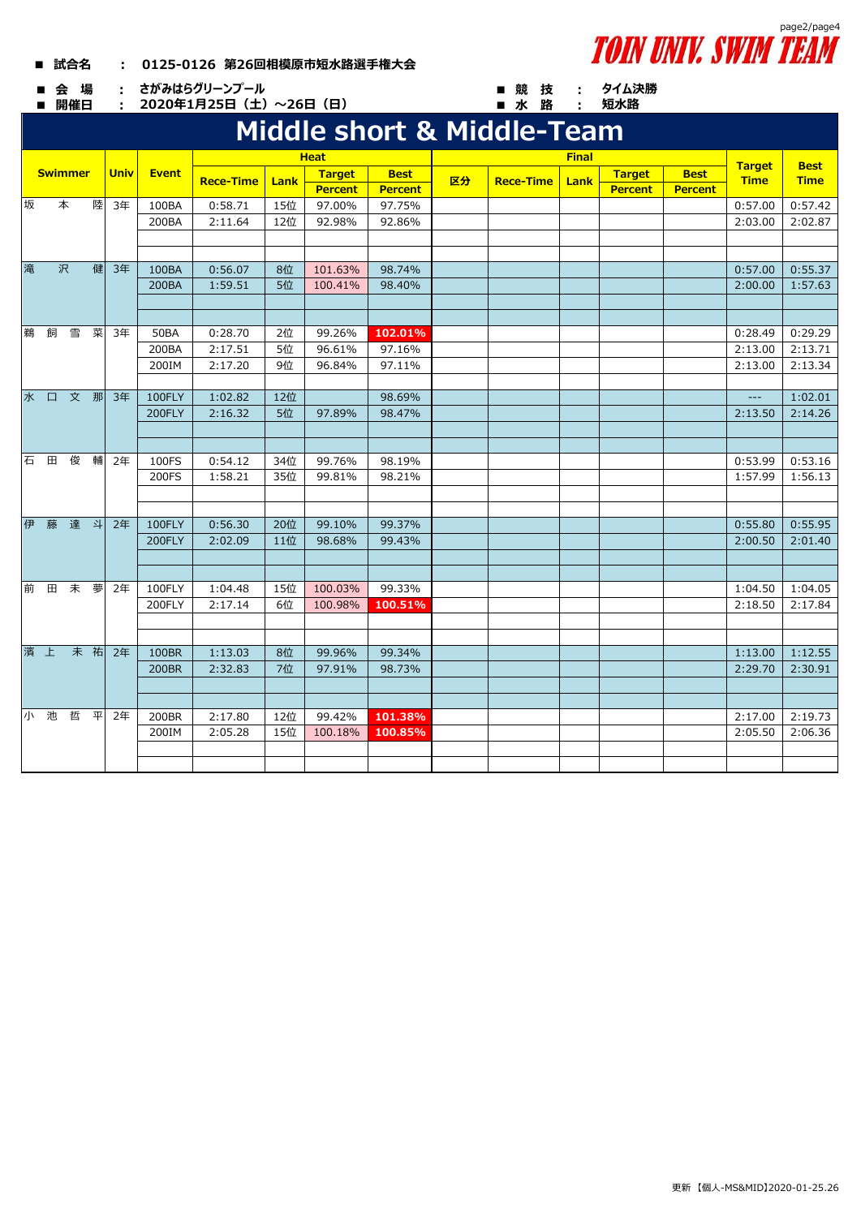## **■ 試合名 : 0125-0126 第26回相模原市短水路選手権大会**



**■ 開催日 : ■ 水 路 : 2020年1月25日(土)~26日(日)**



**タイム決勝**

## **Middle short & Middle-Team 短水路**

|   |     |                |    |      | <b>Heat</b> |                  |      |                |                |    |                  |      |                |                |                             |                            |
|---|-----|----------------|----|------|-------------|------------------|------|----------------|----------------|----|------------------|------|----------------|----------------|-----------------------------|----------------------------|
|   |     | <b>Swimmer</b> |    | Univ | Event       |                  | Lank | Target         | <b>Best</b>    |    |                  |      | <b>Target</b>  | <b>Best</b>    | <b>Target</b>               | <b>Best</b><br><b>Time</b> |
|   |     |                |    |      |             | <b>Rece-Time</b> |      | <b>Percent</b> | <b>Percent</b> | 区分 | <b>Rece-Time</b> | Lank | <b>Percent</b> | <b>Percent</b> | <b>Time</b>                 |                            |
| 坂 |     | 本              | 陸  | 3年   | 100BA       | 0:58.71          | 15位  | 97.00%         | 97.75%         |    |                  |      |                |                | 0:57.00                     | 0:57.42                    |
|   |     |                |    |      | 200BA       | 2:11.64          | 12位  | 92.98%         | 92.86%         |    |                  |      |                |                | 2:03.00                     | 2:02.87                    |
|   |     |                |    |      |             |                  |      |                |                |    |                  |      |                |                |                             |                            |
|   |     |                |    |      |             |                  |      |                |                |    |                  |      |                |                |                             |                            |
| 滝 |     | 沢              | 健  | 3年   | 100BA       | 0:56.07          | 8位   | 101.63%        | 98.74%         |    |                  |      |                |                | 0:57.00                     | 0:55.37                    |
|   |     |                |    |      | 200BA       | 1:59.51          | 5位   | 100.41%        | 98.40%         |    |                  |      |                |                | 2:00.00                     | 1:57.63                    |
|   |     |                |    |      |             |                  |      |                |                |    |                  |      |                |                |                             |                            |
|   |     |                |    |      |             |                  |      |                |                |    |                  |      |                |                |                             |                            |
| 鵜 | 飼   | 雪              | 菜  | 3年   | <b>50BA</b> | 0:28.70          | 2位   | 99.26%         | 102.01%        |    |                  |      |                |                | 0:28.49                     | 0:29.29                    |
|   |     |                |    |      | 200BA       | 2:17.51          | 5位   | 96.61%         | 97.16%         |    |                  |      |                |                | 2:13.00                     | 2:13.71                    |
|   |     |                |    |      | 200IM       | 2:17.20          | 9位   | 96.84%         | 97.11%         |    |                  |      |                |                | 2:13.00                     | 2:13.34                    |
|   |     | 水口文那           |    |      |             |                  |      |                |                |    |                  |      |                |                |                             |                            |
|   |     |                |    | 3年   | 100FLY      | 1:02.82          | 12位  |                | 98.69%         |    |                  |      |                |                | $\rightarrow$ $\rightarrow$ | 1:02.01                    |
|   |     |                |    |      | 200FLY      | 2:16.32          | 5位   | 97.89%         | 98.47%         |    |                  |      |                |                | 2:13.50                     | 2:14.26                    |
|   |     |                |    |      |             |                  |      |                |                |    |                  |      |                |                |                             |                            |
|   |     | 石田俊輔           |    | 2年   | 100FS       | 0:54.12          | 34位  | 99.76%         | 98.19%         |    |                  |      |                |                | 0:53.99                     | 0:53.16                    |
|   |     |                |    |      | 200FS       | 1:58.21          | 35位  | 99.81%         | 98.21%         |    |                  |      |                |                | 1:57.99                     | 1:56.13                    |
|   |     |                |    |      |             |                  |      |                |                |    |                  |      |                |                |                             |                            |
|   |     |                |    |      |             |                  |      |                |                |    |                  |      |                |                |                             |                            |
|   |     | 伊藤達斗           |    | 2年   | 100FLY      | 0:56.30          | 20位  | 99.10%         | 99.37%         |    |                  |      |                |                | 0:55.80                     | 0:55.95                    |
|   |     |                |    |      | 200FLY      | 2:02.09          | 11位  | 98.68%         | 99.43%         |    |                  |      |                |                | 2:00.50                     | 2:01.40                    |
|   |     |                |    |      |             |                  |      |                |                |    |                  |      |                |                |                             |                            |
|   |     |                |    |      |             |                  |      |                |                |    |                  |      |                |                |                             |                            |
|   |     | 前田未夢           |    | 2年   | 100FLY      | 1:04.48          | 15位  | 100.03%        | 99.33%         |    |                  |      |                |                | 1:04.50                     | 1:04.05                    |
|   |     |                |    |      | 200FLY      | 2:17.14          | 6位   | 100.98%        | 100.51%        |    |                  |      |                |                | 2:18.50                     | 2:17.84                    |
|   |     |                |    |      |             |                  |      |                |                |    |                  |      |                |                |                             |                            |
|   |     |                |    |      |             |                  |      |                |                |    |                  |      |                |                |                             |                            |
|   | 濱上  |                | 未祐 | 2年   | 100BR       | 1:13.03          | 8位   | 99.96%         | 99.34%         |    |                  |      |                |                | 1:13.00                     | 1:12.55                    |
|   |     |                |    |      | 200BR       | 2:32.83          | 7位   | 97.91%         | 98.73%         |    |                  |      |                |                | 2:29.70                     | 2:30.91                    |
|   |     |                |    |      |             |                  |      |                |                |    |                  |      |                |                |                             |                            |
|   |     |                |    |      |             |                  |      |                |                |    |                  |      |                |                |                             |                            |
|   | 小 池 | 哲              | 平  | 2年   | 200BR       | 2:17.80          | 12位  | 99.42%         | 101.38%        |    |                  |      |                |                | 2:17.00                     | 2:19.73                    |
|   |     |                |    |      | 200IM       | 2:05.28          | 15位  | 100.18%        | 100.85%        |    |                  |      |                |                | 2:05.50                     | 2:06.36                    |
|   |     |                |    |      |             |                  |      |                |                |    |                  |      |                |                |                             |                            |
|   |     |                |    |      |             |                  |      |                |                |    |                  |      |                |                |                             |                            |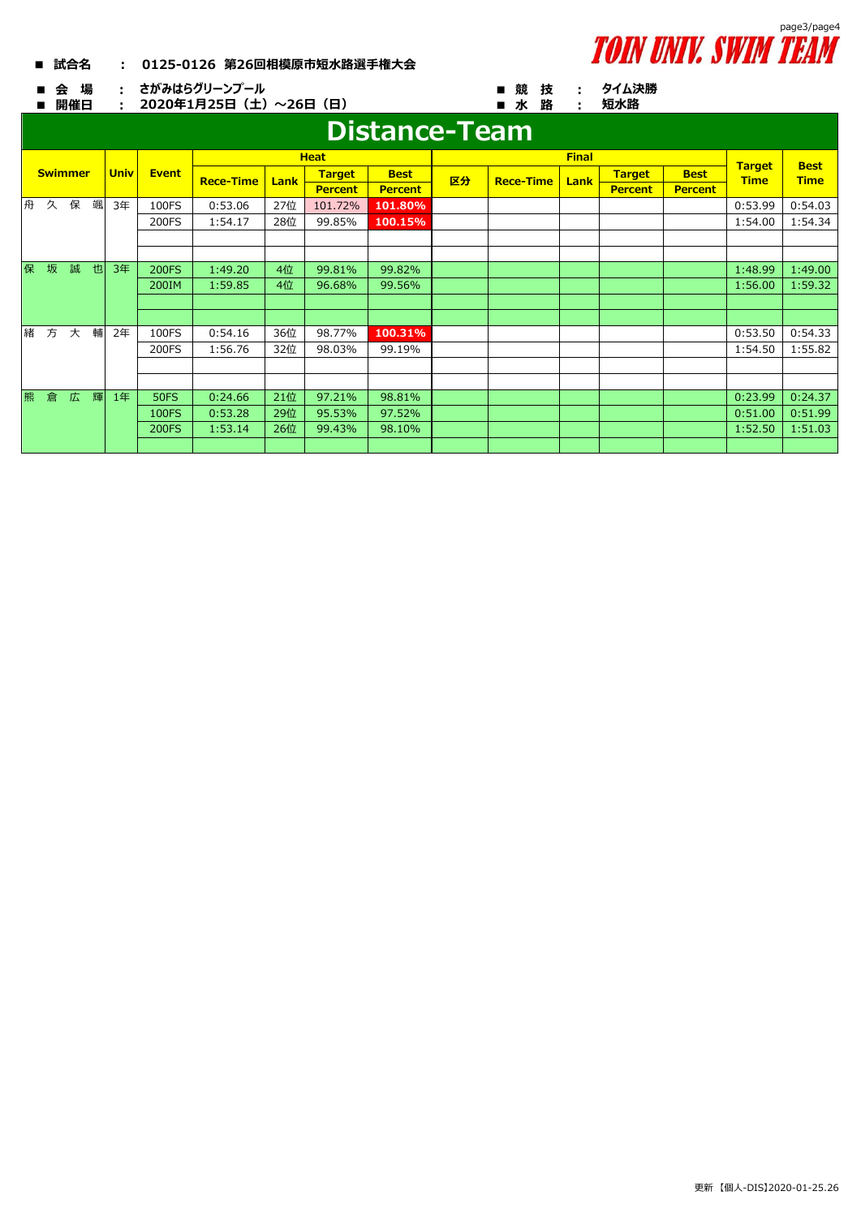

**短水路**

 **■ 試合名 : 0125-0126 第26回相模原市短水路選手権大会**

**■ 会 場 : ■ 競 技 : さがみはらグリーンプール**

**■ 開催日 : ■ 水 路 : 2020年1月25日(土)~26日(日)**

## **タイム決勝**

|   |   |                |   |             |              |                  |      |                | Distance-Team  |    |                                              |      |                |                |             |             |
|---|---|----------------|---|-------------|--------------|------------------|------|----------------|----------------|----|----------------------------------------------|------|----------------|----------------|-------------|-------------|
|   |   |                |   |             |              | <b>Heat</b>      |      |                |                |    | <b>Final</b><br><b>Target</b><br><b>Best</b> |      |                |                |             |             |
|   |   | <b>Swimmer</b> |   | <b>Univ</b> | <b>Event</b> | <b>Rece-Time</b> | Lank | <b>Target</b>  | <b>Best</b>    | 区分 | <b>Rece-Time</b>                             | Lank | <b>Target</b>  | <b>Best</b>    | <b>Time</b> | <b>Time</b> |
|   |   |                |   |             |              |                  |      | <b>Percent</b> | <b>Percent</b> |    |                                              |      | <b>Percent</b> | <b>Percent</b> |             |             |
| 舟 | 久 | 保              | 颯 | 3年          | 100FS        | 0:53.06          | 27位  | 101.72%        | 101.80%        |    |                                              |      |                |                | 0:53.99     | 0:54.03     |
|   |   |                |   |             | 200FS        | 1:54.17          | 28位  | 99.85%         | 100.15%        |    |                                              |      |                |                | 1:54.00     | 1:54.34     |
|   |   |                |   |             |              |                  |      |                |                |    |                                              |      |                |                |             |             |
|   |   |                |   |             |              |                  |      |                |                |    |                                              |      |                |                |             |             |
| 保 | 坂 | 誠              | 也 | 3年          | <b>200FS</b> | 1:49.20          | 4位   | 99.81%         | 99.82%         |    |                                              |      |                |                | 1:48.99     | 1:49.00     |
|   |   |                |   |             | 200IM        | 1:59.85          | 4位   | 96.68%         | 99.56%         |    |                                              |      |                |                | 1:56.00     | 1:59.32     |
|   |   |                |   |             |              |                  |      |                |                |    |                                              |      |                |                |             |             |
|   |   |                |   |             |              |                  |      |                |                |    |                                              |      |                |                |             |             |
| 緒 | 方 | 大              | 輔 | 2年          | 100FS        | 0:54.16          | 36位  | 98.77%         | 100.31%        |    |                                              |      |                |                | 0:53.50     | 0:54.33     |
|   |   |                |   |             | 200FS        | 1:56.76          | 32位  | 98.03%         | 99.19%         |    |                                              |      |                |                | 1:54.50     | 1:55.82     |
|   |   |                |   |             |              |                  |      |                |                |    |                                              |      |                |                |             |             |
|   |   |                |   |             |              |                  |      |                |                |    |                                              |      |                |                |             |             |
| 熊 | 倉 | 広              | 輝 | 1年          | <b>50FS</b>  | 0:24.66          | 21位  | 97.21%         | 98.81%         |    |                                              |      |                |                | 0:23.99     | 0:24.37     |
|   |   |                |   |             | <b>100FS</b> | 0:53.28          | 29位  | 95.53%         | 97.52%         |    |                                              |      |                |                | 0:51.00     | 0:51.99     |
|   |   |                |   |             | <b>200FS</b> | 1:53.14          | 26位  | 99.43%         | 98.10%         |    |                                              |      |                |                | 1:52.50     | 1:51.03     |
|   |   |                |   |             |              |                  |      |                |                |    |                                              |      |                |                |             |             |